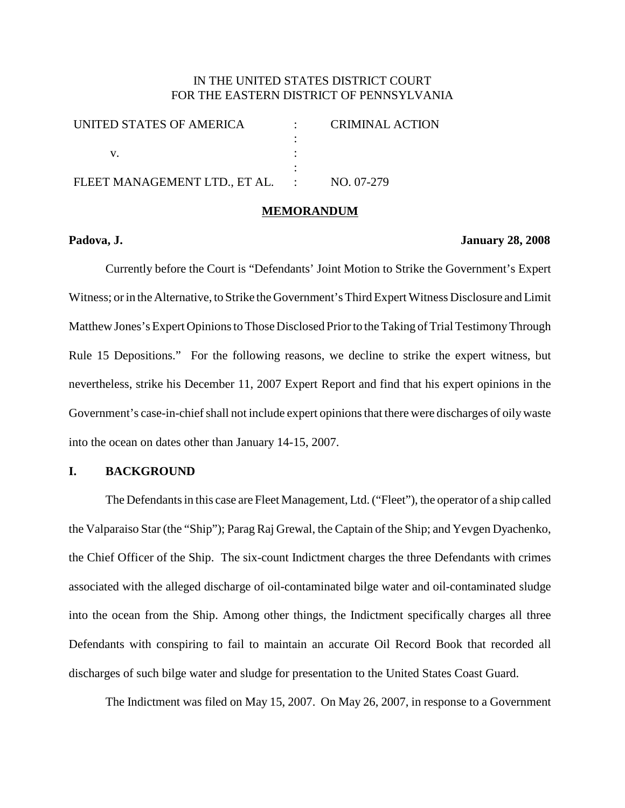## IN THE UNITED STATES DISTRICT COURT FOR THE EASTERN DISTRICT OF PENNSYLVANIA

| UNITED STATES OF AMERICA      | <b>CRIMINAL ACTION</b> |
|-------------------------------|------------------------|
|                               |                        |
|                               |                        |
|                               |                        |
| FLEET MANAGEMENT LTD., ET AL. | NO. 07-279             |
|                               |                        |

### **MEMORANDUM**

### **Padova, J. January 28, 2008**

Currently before the Court is "Defendants' Joint Motion to Strike the Government's Expert Witness; or in the Alternative, to Strike the Government's Third Expert Witness Disclosure and Limit Matthew Jones's Expert Opinions to Those Disclosed Prior to the Taking of Trial Testimony Through Rule 15 Depositions." For the following reasons, we decline to strike the expert witness, but nevertheless, strike his December 11, 2007 Expert Report and find that his expert opinions in the Government's case-in-chief shall not include expert opinions that there were discharges of oily waste into the ocean on dates other than January 14-15, 2007.

## **I. BACKGROUND**

The Defendants in this case are Fleet Management, Ltd. ("Fleet"), the operator of a ship called the Valparaiso Star (the "Ship"); Parag Raj Grewal, the Captain of the Ship; and Yevgen Dyachenko, the Chief Officer of the Ship. The six-count Indictment charges the three Defendants with crimes associated with the alleged discharge of oil-contaminated bilge water and oil-contaminated sludge into the ocean from the Ship. Among other things, the Indictment specifically charges all three Defendants with conspiring to fail to maintain an accurate Oil Record Book that recorded all discharges of such bilge water and sludge for presentation to the United States Coast Guard.

The Indictment was filed on May 15, 2007. On May 26, 2007, in response to a Government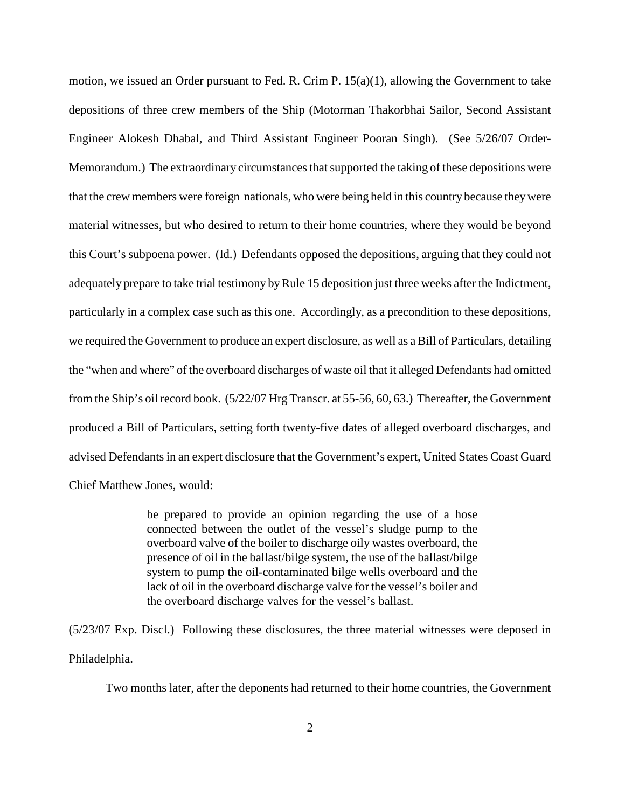motion, we issued an Order pursuant to Fed. R. Crim P. 15(a)(1), allowing the Government to take depositions of three crew members of the Ship (Motorman Thakorbhai Sailor, Second Assistant Engineer Alokesh Dhabal, and Third Assistant Engineer Pooran Singh). (See 5/26/07 Order-Memorandum.) The extraordinary circumstances that supported the taking of these depositions were that the crew members were foreign nationals, who were being held in this country because theywere material witnesses, but who desired to return to their home countries, where they would be beyond this Court's subpoena power. (Id.) Defendants opposed the depositions, arguing that they could not adequately prepare to take trial testimony by Rule 15 deposition just three weeks after the Indictment, particularly in a complex case such as this one. Accordingly, as a precondition to these depositions, we required the Government to produce an expert disclosure, as well as a Bill of Particulars, detailing the "when and where" of the overboard discharges of waste oil that it alleged Defendants had omitted from the Ship's oil record book. (5/22/07 Hrg Transcr. at 55-56, 60, 63.) Thereafter, the Government produced a Bill of Particulars, setting forth twenty-five dates of alleged overboard discharges, and advised Defendants in an expert disclosure that the Government's expert, United States Coast Guard Chief Matthew Jones, would:

> be prepared to provide an opinion regarding the use of a hose connected between the outlet of the vessel's sludge pump to the overboard valve of the boiler to discharge oily wastes overboard, the presence of oil in the ballast/bilge system, the use of the ballast/bilge system to pump the oil-contaminated bilge wells overboard and the lack of oil in the overboard discharge valve for the vessel's boiler and the overboard discharge valves for the vessel's ballast.

(5/23/07 Exp. Discl.) Following these disclosures, the three material witnesses were deposed in Philadelphia.

Two months later, after the deponents had returned to their home countries, the Government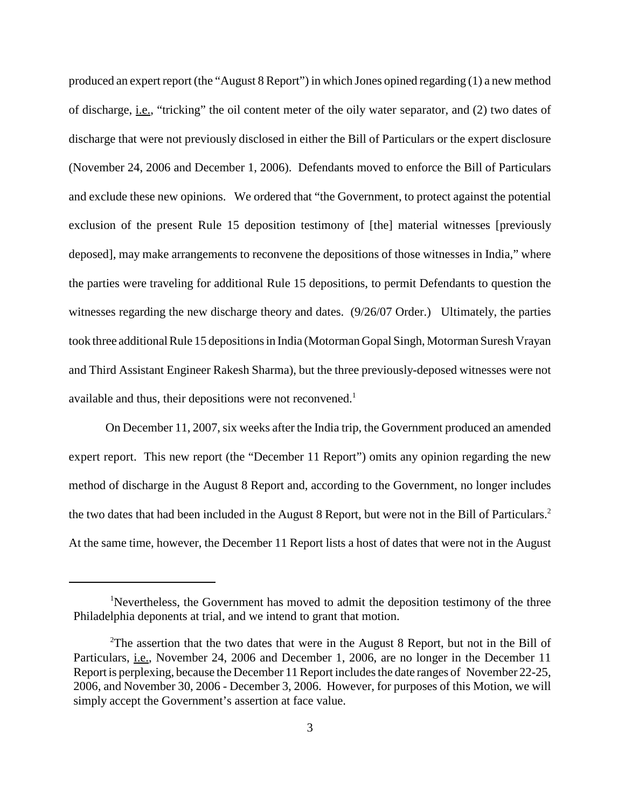produced an expert report (the "August 8 Report") in which Jones opined regarding (1) a new method of discharge, i.e., "tricking" the oil content meter of the oily water separator, and (2) two dates of discharge that were not previously disclosed in either the Bill of Particulars or the expert disclosure (November 24, 2006 and December 1, 2006). Defendants moved to enforce the Bill of Particulars and exclude these new opinions. We ordered that "the Government, to protect against the potential exclusion of the present Rule 15 deposition testimony of [the] material witnesses [previously deposed], may make arrangements to reconvene the depositions of those witnesses in India," where the parties were traveling for additional Rule 15 depositions, to permit Defendants to question the witnesses regarding the new discharge theory and dates. (9/26/07 Order.) Ultimately, the parties took three additional Rule 15 depositions in India (Motorman Gopal Singh, Motorman Suresh Vrayan and Third Assistant Engineer Rakesh Sharma), but the three previously-deposed witnesses were not available and thus, their depositions were not reconvened.<sup>1</sup>

On December 11, 2007, six weeks after the India trip, the Government produced an amended expert report. This new report (the "December 11 Report") omits any opinion regarding the new method of discharge in the August 8 Report and, according to the Government, no longer includes the two dates that had been included in the August 8 Report, but were not in the Bill of Particulars. 2 At the same time, however, the December 11 Report lists a host of dates that were not in the August

<sup>&</sup>lt;sup>1</sup>Nevertheless, the Government has moved to admit the deposition testimony of the three Philadelphia deponents at trial, and we intend to grant that motion.

<sup>&</sup>lt;sup>2</sup>The assertion that the two dates that were in the August 8 Report, but not in the Bill of Particulars, i.e., November 24, 2006 and December 1, 2006, are no longer in the December 11 Report is perplexing, because the December 11 Report includes the date ranges of November 22-25, 2006, and November 30, 2006 - December 3, 2006. However, for purposes of this Motion, we will simply accept the Government's assertion at face value.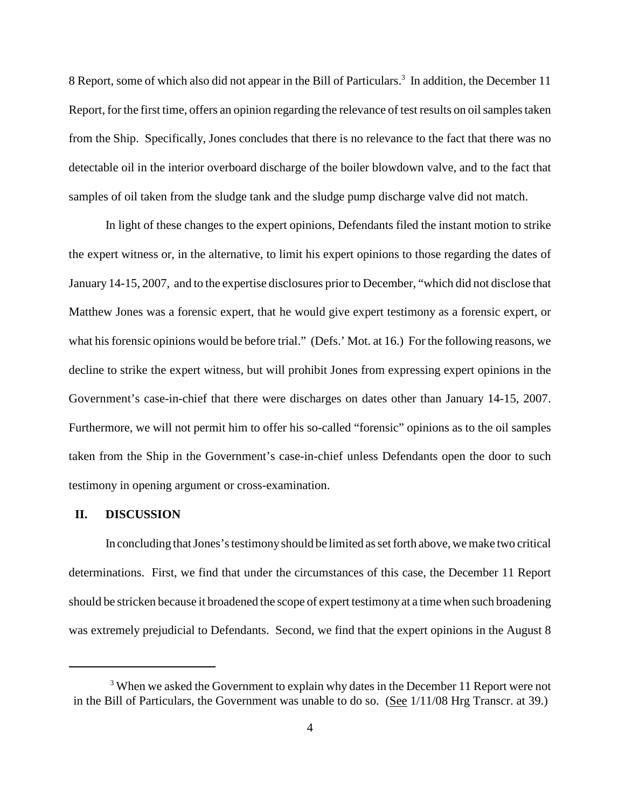8 Report, some of which also did not appear in the Bill of Particulars. <sup>3</sup> In addition, the December 11 Report, for the first time, offers an opinion regarding the relevance of test results on oil samples taken from the Ship. Specifically, Jones concludes that there is no relevance to the fact that there was no detectable oil in the interior overboard discharge of the boiler blowdown valve, and to the fact that samples of oil taken from the sludge tank and the sludge pump discharge valve did not match.

In light of these changes to the expert opinions, Defendants filed the instant motion to strike the expert witness or, in the alternative, to limit his expert opinions to those regarding the dates of January 14-15, 2007, and to the expertise disclosures prior to December, "which did not disclose that Matthew Jones was a forensic expert, that he would give expert testimony as a forensic expert, or what his forensic opinions would be before trial." (Defs.' Mot. at 16.) For the following reasons, we decline to strike the expert witness, but will prohibit Jones from expressing expert opinions in the Government's case-in-chief that there were discharges on dates other than January 14-15, 2007. Furthermore, we will not permit him to offer his so-called "forensic" opinions as to the oil samples taken from the Ship in the Government's case-in-chief unless Defendants open the door to such testimony in opening argument or cross-examination.

### **II. DISCUSSION**

In concluding that Jones's testimony should be limited as set forth above, we make two critical determinations. First, we find that under the circumstances of this case, the December 11 Report should be stricken because it broadened the scope of expert testimony at a time when such broadening was extremely prejudicial to Defendants. Second, we find that the expert opinions in the August 8

<sup>&</sup>lt;sup>3</sup> When we asked the Government to explain why dates in the December 11 Report were not in the Bill of Particulars, the Government was unable to do so. (See 1/11/08 Hrg Transcr. at 39.)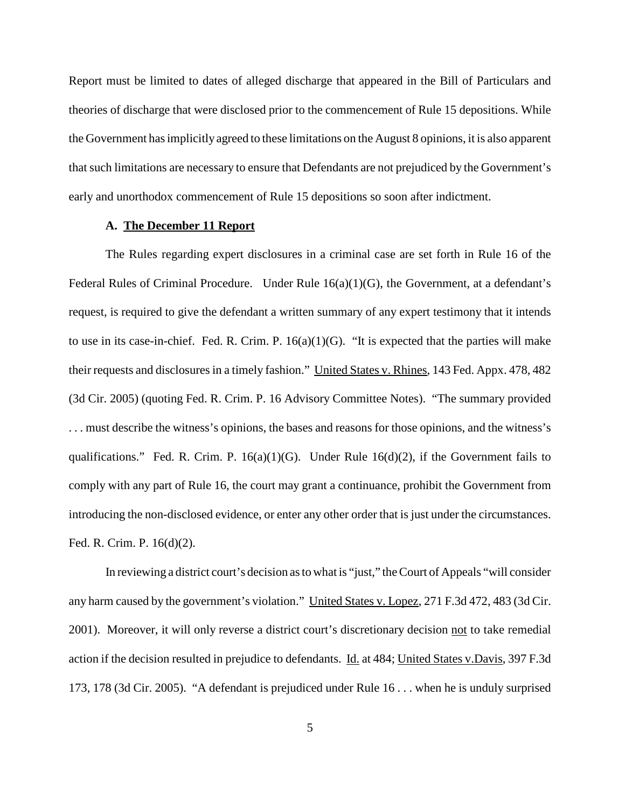Report must be limited to dates of alleged discharge that appeared in the Bill of Particulars and theories of discharge that were disclosed prior to the commencement of Rule 15 depositions. While the Government hasimplicitly agreed to these limitations on the August 8 opinions, it is also apparent that such limitations are necessary to ensure that Defendants are not prejudiced by the Government's early and unorthodox commencement of Rule 15 depositions so soon after indictment.

## **A. The December 11 Report**

The Rules regarding expert disclosures in a criminal case are set forth in Rule 16 of the Federal Rules of Criminal Procedure. Under Rule  $16(a)(1)(G)$ , the Government, at a defendant's request, is required to give the defendant a written summary of any expert testimony that it intends to use in its case-in-chief. Fed. R. Crim. P.  $16(a)(1)(G)$ . "It is expected that the parties will make their requests and disclosures in a timely fashion." United States v. Rhines, 143 Fed. Appx. 478, 482 (3d Cir. 2005) (quoting Fed. R. Crim. P. 16 Advisory Committee Notes). "The summary provided . . . must describe the witness's opinions, the bases and reasons for those opinions, and the witness's qualifications." Fed. R. Crim. P.  $16(a)(1)(G)$ . Under Rule  $16(d)(2)$ , if the Government fails to comply with any part of Rule 16, the court may grant a continuance, prohibit the Government from introducing the non-disclosed evidence, or enter any other order that is just under the circumstances. Fed. R. Crim. P. 16(d)(2).

In reviewing a district court's decision as to what is "just," the Court of Appeals "will consider any harm caused by the government's violation." United States v. Lopez, 271 F.3d 472, 483 (3d Cir. 2001). Moreover, it will only reverse a district court's discretionary decision not to take remedial action if the decision resulted in prejudice to defendants. Id. at 484; United States v.Davis, 397 F.3d 173, 178 (3d Cir. 2005). "A defendant is prejudiced under Rule 16 . . . when he is unduly surprised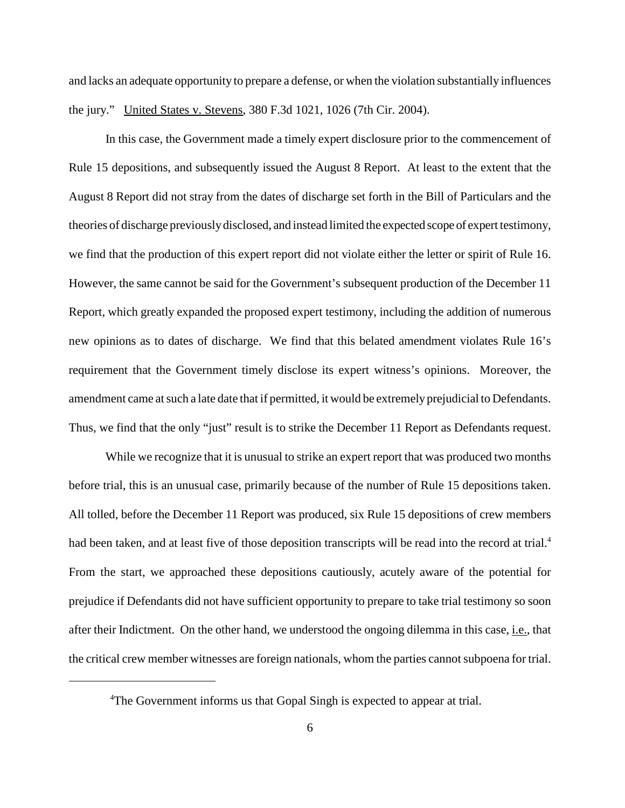and lacks an adequate opportunity to prepare a defense, or when the violation substantially influences the jury." United States v. Stevens, 380 F.3d 1021, 1026 (7th Cir. 2004).

In this case, the Government made a timely expert disclosure prior to the commencement of Rule 15 depositions, and subsequently issued the August 8 Report. At least to the extent that the August 8 Report did not stray from the dates of discharge set forth in the Bill of Particulars and the theories of discharge previouslydisclosed, and instead limited the expected scope of expert testimony, we find that the production of this expert report did not violate either the letter or spirit of Rule 16. However, the same cannot be said for the Government's subsequent production of the December 11 Report, which greatly expanded the proposed expert testimony, including the addition of numerous new opinions as to dates of discharge. We find that this belated amendment violates Rule 16's requirement that the Government timely disclose its expert witness's opinions. Moreover, the amendment came at such a late date that if permitted, it would be extremely prejudicial to Defendants. Thus, we find that the only "just" result is to strike the December 11 Report as Defendants request.

While we recognize that it is unusual to strike an expert report that was produced two months before trial, this is an unusual case, primarily because of the number of Rule 15 depositions taken. All tolled, before the December 11 Report was produced, six Rule 15 depositions of crew members had been taken, and at least five of those deposition transcripts will be read into the record at trial.<sup>4</sup> From the start, we approached these depositions cautiously, acutely aware of the potential for prejudice if Defendants did not have sufficient opportunity to prepare to take trial testimony so soon after their Indictment. On the other hand, we understood the ongoing dilemma in this case, i.e., that the critical crew member witnesses are foreign nationals, whom the parties cannot subpoena for trial.

<sup>&</sup>lt;sup>4</sup>The Government informs us that Gopal Singh is expected to appear at trial.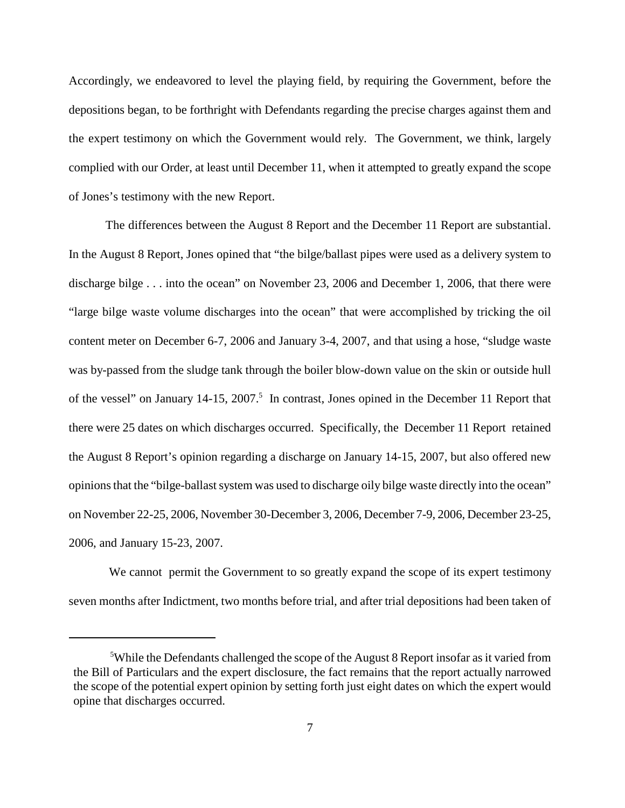Accordingly, we endeavored to level the playing field, by requiring the Government, before the depositions began, to be forthright with Defendants regarding the precise charges against them and the expert testimony on which the Government would rely. The Government, we think, largely complied with our Order, at least until December 11, when it attempted to greatly expand the scope of Jones's testimony with the new Report.

The differences between the August 8 Report and the December 11 Report are substantial. In the August 8 Report, Jones opined that "the bilge/ballast pipes were used as a delivery system to discharge bilge . . . into the ocean" on November 23, 2006 and December 1, 2006, that there were "large bilge waste volume discharges into the ocean" that were accomplished by tricking the oil content meter on December 6-7, 2006 and January 3-4, 2007, and that using a hose, "sludge waste was by-passed from the sludge tank through the boiler blow-down value on the skin or outside hull of the vessel" on January 14-15, 2007.<sup>5</sup> In contrast, Jones opined in the December 11 Report that there were 25 dates on which discharges occurred. Specifically, the December 11 Report retained the August 8 Report's opinion regarding a discharge on January 14-15, 2007, but also offered new opinions that the "bilge-ballast system was used to discharge oily bilge waste directly into the ocean" on November 22-25, 2006, November 30-December 3, 2006, December 7-9, 2006, December 23-25, 2006, and January 15-23, 2007.

We cannot permit the Government to so greatly expand the scope of its expert testimony seven months after Indictment, two months before trial, and after trial depositions had been taken of

<sup>&</sup>lt;sup>5</sup>While the Defendants challenged the scope of the August 8 Report insofar as it varied from the Bill of Particulars and the expert disclosure, the fact remains that the report actually narrowed the scope of the potential expert opinion by setting forth just eight dates on which the expert would opine that discharges occurred.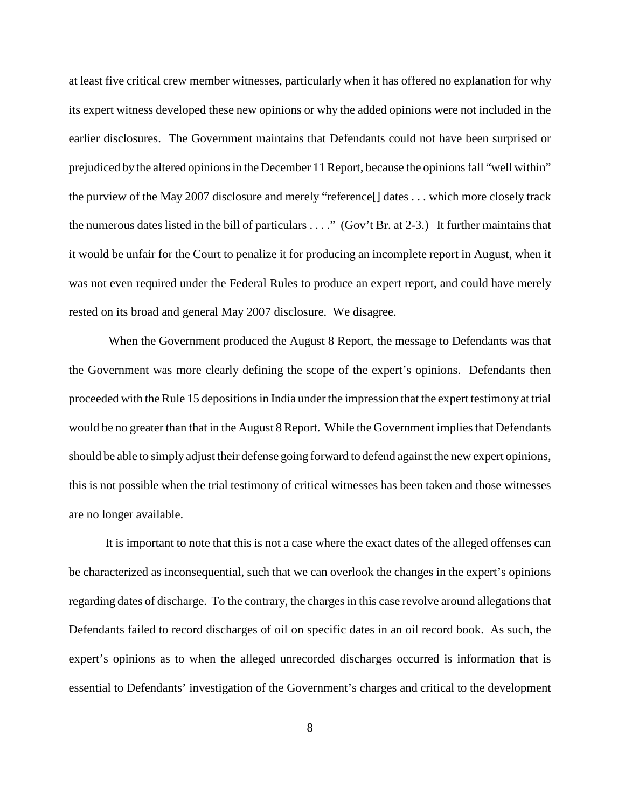at least five critical crew member witnesses, particularly when it has offered no explanation for why its expert witness developed these new opinions or why the added opinions were not included in the earlier disclosures. The Government maintains that Defendants could not have been surprised or prejudiced by the altered opinions in the December 11 Report, because the opinions fall "well within" the purview of the May 2007 disclosure and merely "reference[] dates . . . which more closely track the numerous dates listed in the bill of particulars . . . ." (Gov't Br. at 2-3.) It further maintains that it would be unfair for the Court to penalize it for producing an incomplete report in August, when it was not even required under the Federal Rules to produce an expert report, and could have merely rested on its broad and general May 2007 disclosure. We disagree.

When the Government produced the August 8 Report, the message to Defendants was that the Government was more clearly defining the scope of the expert's opinions. Defendants then proceeded with the Rule 15 depositions in India under the impression that the expert testimony at trial would be no greater than that in the August 8 Report. While the Government implies that Defendants should be able to simply adjust their defense going forward to defend against the new expert opinions, this is not possible when the trial testimony of critical witnesses has been taken and those witnesses are no longer available.

It is important to note that this is not a case where the exact dates of the alleged offenses can be characterized as inconsequential, such that we can overlook the changes in the expert's opinions regarding dates of discharge. To the contrary, the charges in this case revolve around allegations that Defendants failed to record discharges of oil on specific dates in an oil record book. As such, the expert's opinions as to when the alleged unrecorded discharges occurred is information that is essential to Defendants' investigation of the Government's charges and critical to the development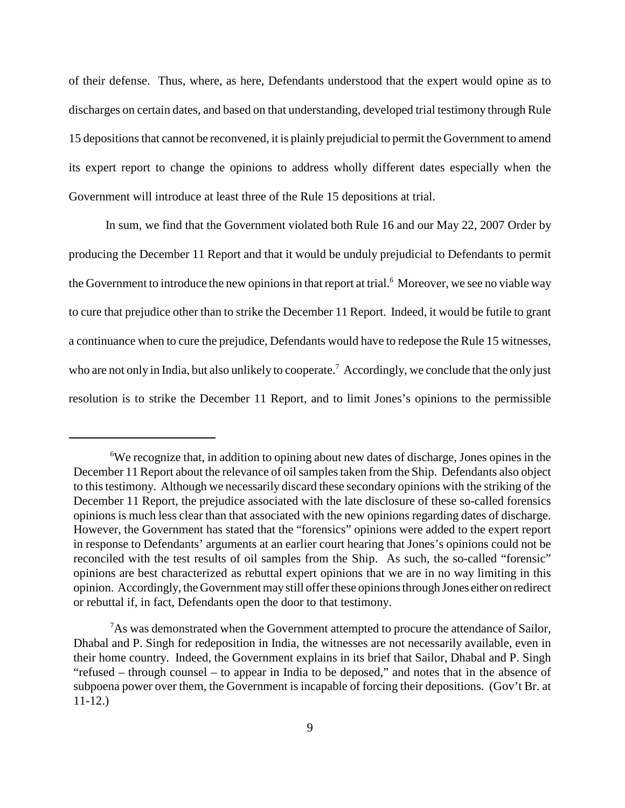of their defense. Thus, where, as here, Defendants understood that the expert would opine as to discharges on certain dates, and based on that understanding, developed trial testimony through Rule 15 depositions that cannot be reconvened, it is plainly prejudicial to permit the Government to amend its expert report to change the opinions to address wholly different dates especially when the Government will introduce at least three of the Rule 15 depositions at trial.

In sum, we find that the Government violated both Rule 16 and our May 22, 2007 Order by producing the December 11 Report and that it would be unduly prejudicial to Defendants to permit the Government to introduce the new opinions in that report at trial.<sup>6</sup> Moreover, we see no viable way to cure that prejudice other than to strike the December 11 Report. Indeed, it would be futile to grant a continuance when to cure the prejudice, Defendants would have to redepose the Rule 15 witnesses, who are not only in India, but also unlikely to cooperate.<sup>7</sup> Accordingly, we conclude that the only just resolution is to strike the December 11 Report, and to limit Jones's opinions to the permissible

<sup>6</sup> We recognize that, in addition to opining about new dates of discharge, Jones opines in the December 11 Report about the relevance of oil samples taken from the Ship. Defendants also object to thistestimony. Although we necessarily discard these secondary opinions with the striking of the December 11 Report, the prejudice associated with the late disclosure of these so-called forensics opinions is much less clear than that associated with the new opinions regarding dates of discharge. However, the Government has stated that the "forensics" opinions were added to the expert report in response to Defendants' arguments at an earlier court hearing that Jones's opinions could not be reconciled with the test results of oil samples from the Ship. As such, the so-called "forensic" opinions are best characterized as rebuttal expert opinions that we are in no way limiting in this opinion. Accordingly, the Government may still offer these opinions through Jones either on redirect or rebuttal if, in fact, Defendants open the door to that testimony.

 $7$ As was demonstrated when the Government attempted to procure the attendance of Sailor, Dhabal and P. Singh for redeposition in India, the witnesses are not necessarily available, even in their home country. Indeed, the Government explains in its brief that Sailor, Dhabal and P. Singh "refused – through counsel – to appear in India to be deposed," and notes that in the absence of subpoena power over them, the Government is incapable of forcing their depositions. (Gov't Br. at 11-12.)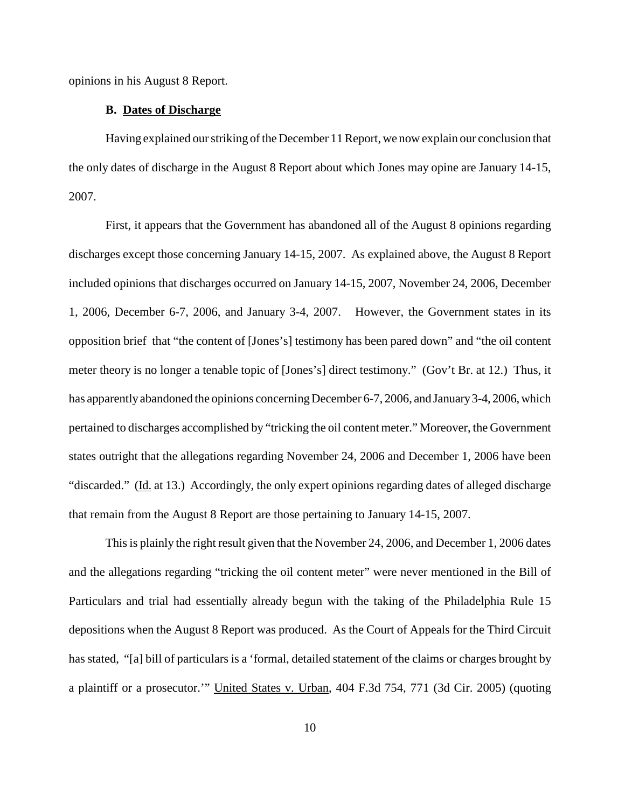opinions in his August 8 Report.

#### **B. Dates of Discharge**

Having explained ourstriking ofthe December 11Report, we now explain our conclusion that the only dates of discharge in the August 8 Report about which Jones may opine are January 14-15, 2007.

First, it appears that the Government has abandoned all of the August 8 opinions regarding discharges except those concerning January 14-15, 2007. As explained above, the August 8 Report included opinions that discharges occurred on January 14-15, 2007, November 24, 2006, December 1, 2006, December 6-7, 2006, and January 3-4, 2007. However, the Government states in its opposition brief that "the content of [Jones's] testimony has been pared down" and "the oil content meter theory is no longer a tenable topic of [Jones's] direct testimony." (Gov't Br. at 12.) Thus, it has apparently abandoned the opinions concerning December 6-7, 2006, and January 3-4, 2006, which pertained to discharges accomplished by "tricking the oil content meter." Moreover, the Government states outright that the allegations regarding November 24, 2006 and December 1, 2006 have been "discarded." (Id. at 13.) Accordingly, the only expert opinions regarding dates of alleged discharge that remain from the August 8 Report are those pertaining to January 14-15, 2007.

This is plainly the right result given that the November 24, 2006, and December 1, 2006 dates and the allegations regarding "tricking the oil content meter" were never mentioned in the Bill of Particulars and trial had essentially already begun with the taking of the Philadelphia Rule 15 depositions when the August 8 Report was produced. As the Court of Appeals for the Third Circuit has stated, "[a] bill of particulars is a 'formal, detailed statement of the claims or charges brought by a plaintiff or a prosecutor.'" United States v. Urban, 404 F.3d 754, 771 (3d Cir. 2005) (quoting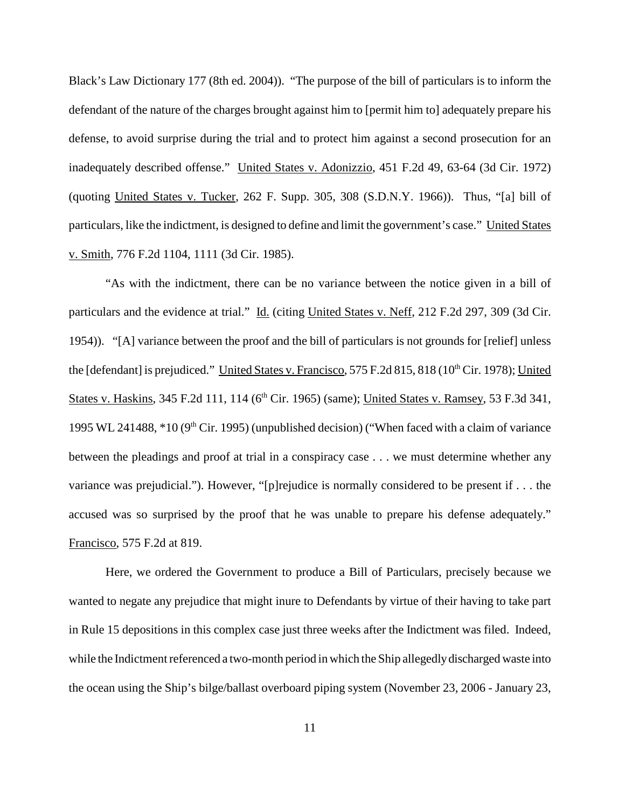Black's Law Dictionary 177 (8th ed. 2004)). "The purpose of the bill of particulars is to inform the defendant of the nature of the charges brought against him to [permit him to] adequately prepare his defense, to avoid surprise during the trial and to protect him against a second prosecution for an inadequately described offense." United States v. Adonizzio, 451 F.2d 49, 63-64 (3d Cir. 1972) (quoting United States v. Tucker, 262 F. Supp. 305, 308 (S.D.N.Y. 1966)). Thus, "[a] bill of particulars, like the indictment, is designed to define and limit the government's case." United States v. Smith, 776 F.2d 1104, 1111 (3d Cir. 1985).

"As with the indictment, there can be no variance between the notice given in a bill of particulars and the evidence at trial." Id. (citing United States v. Neff, 212 F.2d 297, 309 (3d Cir. 1954)). "[A] variance between the proof and the bill of particulars is not grounds for [relief] unless the [defendant] is prejudiced." United States v. Francisco, 575 F.2d 815, 818 (10<sup>th</sup> Cir. 1978); United States v. Haskins, 345 F.2d 111, 114 (6<sup>th</sup> Cir. 1965) (same); United States v. Ramsey, 53 F.3d 341, 1995 WL 241488,  $*10$  (9<sup>th</sup> Cir. 1995) (unpublished decision) ("When faced with a claim of variance between the pleadings and proof at trial in a conspiracy case . . . we must determine whether any variance was prejudicial."). However, "[p]rejudice is normally considered to be present if . . . the accused was so surprised by the proof that he was unable to prepare his defense adequately." Francisco, 575 F.2d at 819.

Here, we ordered the Government to produce a Bill of Particulars, precisely because we wanted to negate any prejudice that might inure to Defendants by virtue of their having to take part in Rule 15 depositions in this complex case just three weeks after the Indictment was filed. Indeed, while the Indictment referenced a two-month period in which the Ship allegedly discharged waste into the ocean using the Ship's bilge/ballast overboard piping system (November 23, 2006 - January 23,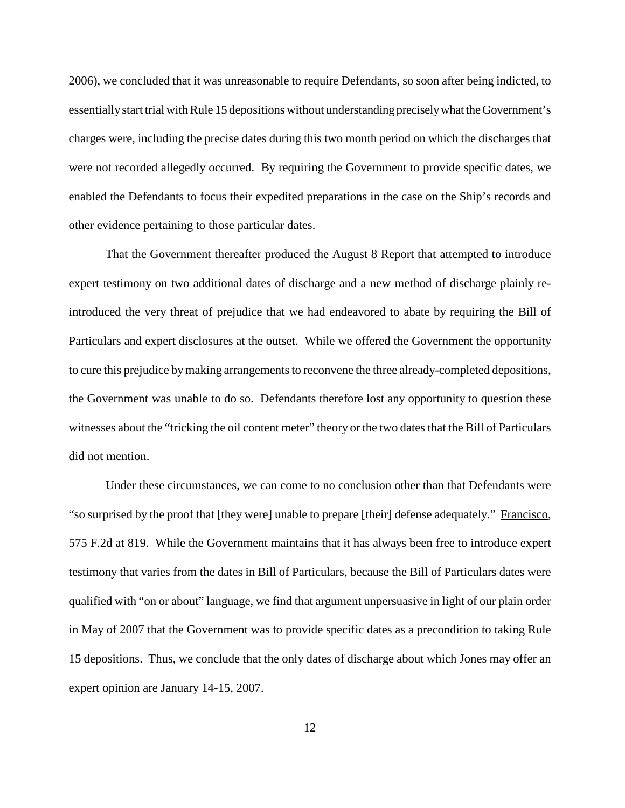2006), we concluded that it was unreasonable to require Defendants, so soon after being indicted, to essentially start trial with Rule 15 depositions without understanding precisely what the Government's charges were, including the precise dates during this two month period on which the discharges that were not recorded allegedly occurred. By requiring the Government to provide specific dates, we enabled the Defendants to focus their expedited preparations in the case on the Ship's records and other evidence pertaining to those particular dates.

That the Government thereafter produced the August 8 Report that attempted to introduce expert testimony on two additional dates of discharge and a new method of discharge plainly reintroduced the very threat of prejudice that we had endeavored to abate by requiring the Bill of Particulars and expert disclosures at the outset. While we offered the Government the opportunity to cure this prejudice by making arrangements to reconvene the three already-completed depositions, the Government was unable to do so. Defendants therefore lost any opportunity to question these witnesses about the "tricking the oil content meter" theory or the two dates that the Bill of Particulars did not mention.

Under these circumstances, we can come to no conclusion other than that Defendants were "so surprised by the proof that [they were] unable to prepare [their] defense adequately." Francisco, 575 F.2d at 819. While the Government maintains that it has always been free to introduce expert testimony that varies from the dates in Bill of Particulars, because the Bill of Particulars dates were qualified with "on or about" language, we find that argument unpersuasive in light of our plain order in May of 2007 that the Government was to provide specific dates as a precondition to taking Rule 15 depositions. Thus, we conclude that the only dates of discharge about which Jones may offer an expert opinion are January 14-15, 2007.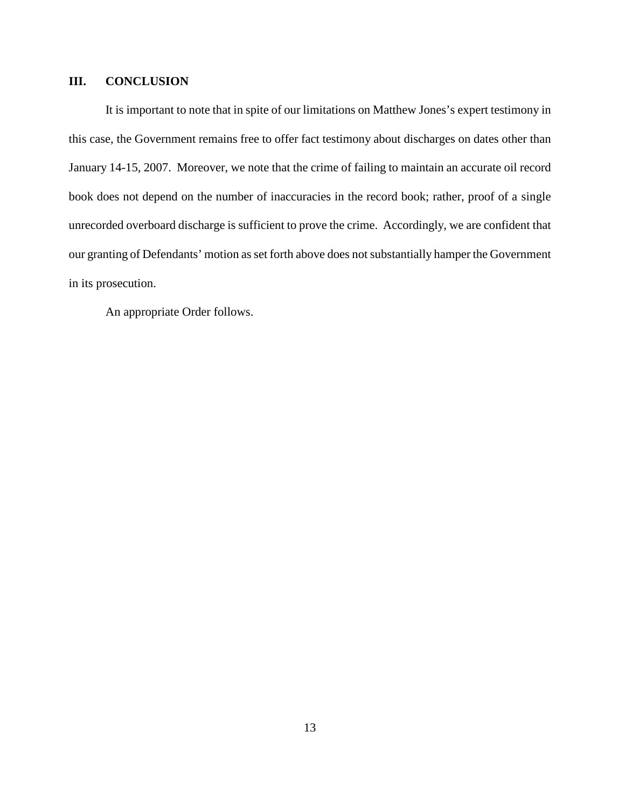# **III. CONCLUSION**

It is important to note that in spite of our limitations on Matthew Jones's expert testimony in this case, the Government remains free to offer fact testimony about discharges on dates other than January 14-15, 2007. Moreover, we note that the crime of failing to maintain an accurate oil record book does not depend on the number of inaccuracies in the record book; rather, proof of a single unrecorded overboard discharge is sufficient to prove the crime. Accordingly, we are confident that our granting of Defendants' motion as set forth above does not substantially hamper the Government in its prosecution.

An appropriate Order follows.